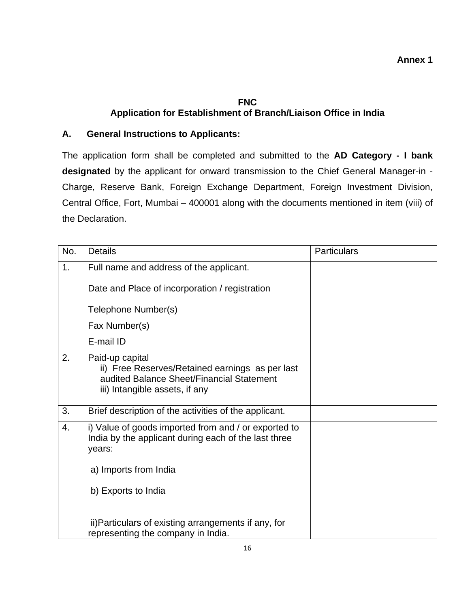## **FNC Application for Establishment of Branch/Liaison Office in India**

## **A. General Instructions to Applicants:**

The application form shall be completed and submitted to the **AD Category - I bank designated** by the applicant for onward transmission to the Chief General Manager-in - Charge, Reserve Bank, Foreign Exchange Department, Foreign Investment Division, Central Office, Fort, Mumbai – 400001 along with the documents mentioned in item (viii) of the Declaration.

| No. | <b>Details</b>                                                                                                                                    | <b>Particulars</b> |
|-----|---------------------------------------------------------------------------------------------------------------------------------------------------|--------------------|
| 1.  | Full name and address of the applicant.<br>Date and Place of incorporation / registration                                                         |                    |
|     | Telephone Number(s)                                                                                                                               |                    |
|     | Fax Number(s)                                                                                                                                     |                    |
|     | E-mail ID                                                                                                                                         |                    |
| 2.  | Paid-up capital<br>ii) Free Reserves/Retained earnings as per last<br>audited Balance Sheet/Financial Statement<br>iii) Intangible assets, if any |                    |
| 3.  | Brief description of the activities of the applicant.                                                                                             |                    |
| 4.  | i) Value of goods imported from and / or exported to<br>India by the applicant during each of the last three<br>years:                            |                    |
|     | a) Imports from India                                                                                                                             |                    |
|     | b) Exports to India                                                                                                                               |                    |
|     | ii) Particulars of existing arrangements if any, for<br>representing the company in India.                                                        |                    |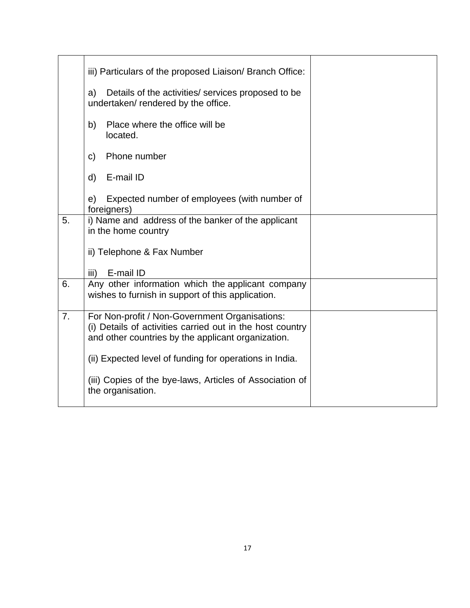|                | iii) Particulars of the proposed Liaison/ Branch Office:                                                                                                          |  |
|----------------|-------------------------------------------------------------------------------------------------------------------------------------------------------------------|--|
|                | Details of the activities/ services proposed to be<br>a)<br>undertaken/ rendered by the office.                                                                   |  |
|                | Place where the office will be<br>b)<br>located.                                                                                                                  |  |
|                | Phone number<br>C)                                                                                                                                                |  |
|                | E-mail ID<br>d)                                                                                                                                                   |  |
|                | Expected number of employees (with number of<br>e)<br>foreigners)                                                                                                 |  |
| 5.             | i) Name and address of the banker of the applicant<br>in the home country                                                                                         |  |
|                | ii) Telephone & Fax Number                                                                                                                                        |  |
|                | E-mail ID<br>iii)                                                                                                                                                 |  |
| 6.             | Any other information which the applicant company<br>wishes to furnish in support of this application.                                                            |  |
| 7 <sub>1</sub> | For Non-profit / Non-Government Organisations:<br>(i) Details of activities carried out in the host country<br>and other countries by the applicant organization. |  |
|                | (ii) Expected level of funding for operations in India.                                                                                                           |  |
|                | (iii) Copies of the bye-laws, Articles of Association of<br>the organisation.                                                                                     |  |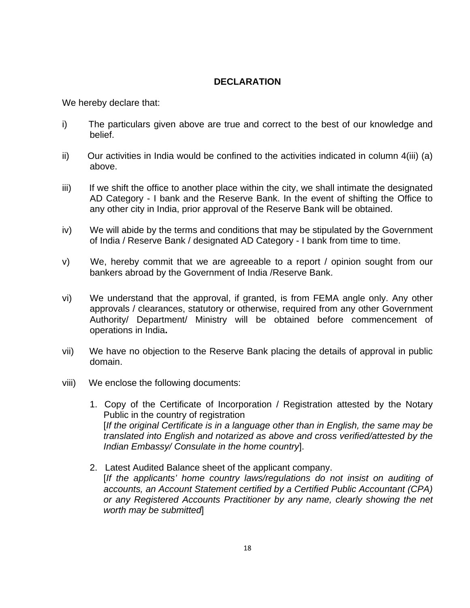## **DECLARATION**

We hereby declare that:

- i) The particulars given above are true and correct to the best of our knowledge and belief.
- $\ddot{i}$  Our activities in India would be confined to the activities indicated in column 4(iii) (a) above.
- iii) If we shift the office to another place within the city, we shall intimate the designated AD Category - I bank and the Reserve Bank. In the event of shifting the Office to any other city in India, prior approval of the Reserve Bank will be obtained.
- iv) We will abide by the terms and conditions that may be stipulated by the Government of India / Reserve Bank / designated AD Category - I bank from time to time.
- v) We, hereby commit that we are agreeable to a report / opinion sought from our bankers abroad by the Government of India /Reserve Bank.
- vi) We understand that the approval, if granted, is from FEMA angle only. Any other approvals / clearances, statutory or otherwise, required from any other Government Authority/ Department/ Ministry will be obtained before commencement of operations in India**.**
- vii) We have no objection to the Reserve Bank placing the details of approval in public domain.
- viii) We enclose the following documents:
	- 1. Copy of the Certificate of Incorporation / Registration attested by the Notary Public in the country of registration [*If the original Certificate is in a language other than in English, the same may be translated into English and notarized as above and cross verified/attested by the Indian Embassy/ Consulate in the home country*].
	- 2. Latest Audited Balance sheet of the applicant company. [*If the applicants' home country laws/regulations do not insist on auditing of accounts, an Account Statement certified by a Certified Public Accountant (CPA) or any Registered Accounts Practitioner by any name, clearly showing the net worth may be submitted*]